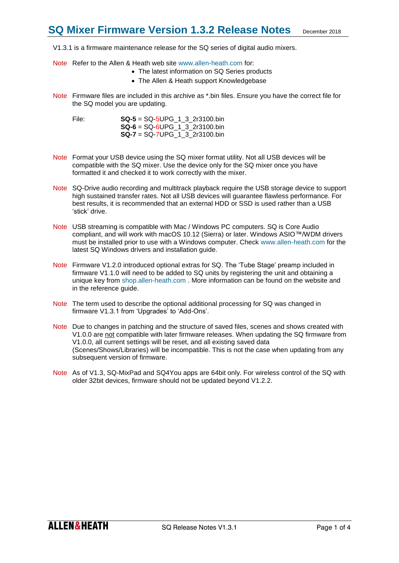V1.3.1 is a firmware maintenance release for the SQ series of digital audio mixers.

- Note Refer to the Allen & Heath web site [www.allen-heath.com](http://www.allen-heath.com/) for:
	- The latest information on SQ Series products
	- The Allen & Heath support Knowledgebase
- Note Firmware files are included in this archive as \*.bin files. Ensure you have the correct file for the SQ model you are updating.

File: **SQ-5** = SQ-5UPG\_1\_3\_2r3100.bin **SQ-6** = SQ-6UPG\_1\_3\_2r3100.bin **SQ-7** = SQ-7UPG\_1\_3\_2r3100.bin

- Note Format your USB device using the SQ mixer format utility. Not all USB devices will be compatible with the SQ mixer. Use the device only for the SQ mixer once you have formatted it and checked it to work correctly with the mixer.
- Note SQ-Drive audio recording and multitrack playback require the USB storage device to support high sustained transfer rates. Not all USB devices will guarantee flawless performance. For best results, it is recommended that an external HDD or SSD is used rather than a USB 'stick' drive.
- Note USB streaming is compatible with Mac / Windows PC computers. SQ is Core Audio compliant, and will work with macOS 10.12 (Sierra) or later. Windows ASIO™/WDM drivers must be installed prior to use with a Windows computer. Check [www.allen-heath.com](http://www.allen-heath.com/) for the latest SQ Windows drivers and installation guide.
- Note Firmware V1.2.0 introduced optional extras for SQ. The 'Tube Stage' preamp included in firmware V1.1.0 will need to be added to SQ units by registering the unit and obtaining a unique key from [shop.allen-heath.com](http://shop.allen-heath.com/) . More information can be found on the website and in the reference guide.
- Note The term used to describe the optional additional processing for SQ was changed in firmware V1.3.1 from 'Upgrades' to 'Add-Ons'.
- Note Due to changes in patching and the structure of saved files, scenes and shows created with V1.0.0 are not compatible with later firmware releases. When updating the SQ firmware from V1.0.0, all current settings will be reset, and all existing saved data (Scenes/Shows/Libraries) will be incompatible. This is not the case when updating from any subsequent version of firmware.
- Note As of V1.3, SQ-MixPad and SQ4You apps are 64bit only. For wireless control of the SQ with older 32bit devices, firmware should not be updated beyond V1.2.2.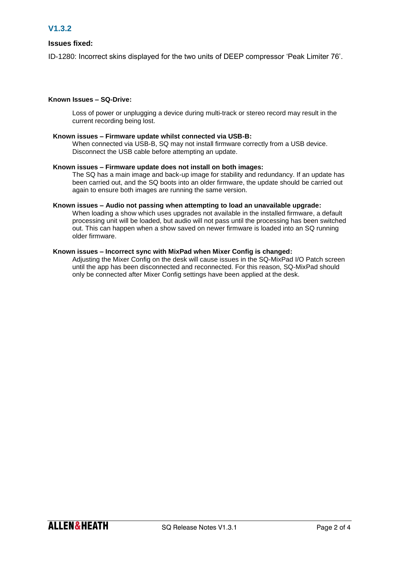## **Issues fixed:**

ID-1280: Incorrect skins displayed for the two units of DEEP compressor 'Peak Limiter 76'.

## **Known Issues – SQ-Drive:**

Loss of power or unplugging a device during multi-track or stereo record may result in the current recording being lost.

### **Known issues – Firmware update whilst connected via USB-B:**

When connected via USB-B, SQ may not install firmware correctly from a USB device. Disconnect the USB cable before attempting an update.

#### **Known issues – Firmware update does not install on both images:**

The SQ has a main image and back-up image for stability and redundancy. If an update has been carried out, and the SQ boots into an older firmware, the update should be carried out again to ensure both images are running the same version.

#### **Known issues – Audio not passing when attempting to load an unavailable upgrade:**

When loading a show which uses upgrades not available in the installed firmware, a default processing unit will be loaded, but audio will not pass until the processing has been switched out. This can happen when a show saved on newer firmware is loaded into an SQ running older firmware.

### **Known issues – Incorrect sync with MixPad when Mixer Config is changed:**

Adjusting the Mixer Config on the desk will cause issues in the SQ-MixPad I/O Patch screen until the app has been disconnected and reconnected. For this reason, SQ-MixPad should only be connected after Mixer Config settings have been applied at the desk.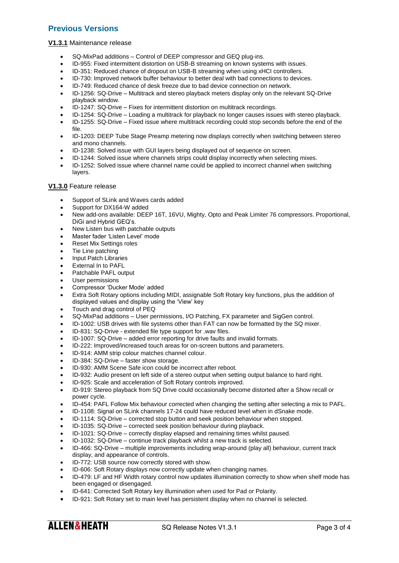# **Previous Versions**

#### **V1.3.1** Maintenance release

- SQ-MixPad additions Control of DEEP compressor and GEQ plug-ins.
- ID-955: Fixed intermittent distortion on USB-B streaming on known systems with issues.
- ID-351: Reduced chance of dropout on USB-B streaming when using xHCI controllers.
- ID-730: Improved network buffer behaviour to better deal with bad connections to devices.
- ID-749: Reduced chance of desk freeze due to bad device connection on network.
- ID-1256: SQ-Drive Multitrack and stereo playback meters display only on the relevant SQ-Drive playback window.
- ID-1247: SQ-Drive Fixes for intermittent distortion on multitrack recordings.
- ID-1254: SQ-Drive Loading a multitrack for playback no longer causes issues with stereo playback.
- ID-1255: SQ-Drive Fixed issue where multitrack recording could stop seconds before the end of the file.
- ID-1203: DEEP Tube Stage Preamp metering now displays correctly when switching between stereo and mono channels.
- ID-1238: Solved issue with GUI layers being displayed out of sequence on screen.
- ID-1244: Solved issue where channels strips could display incorrectly when selecting mixes.
- ID-1252: Solved issue where channel name could be applied to incorrect channel when switching layers.

## **V1.3.0** Feature release

- Support of SLink and Waves cards added
- Support for DX164-W added
- New add-ons available: DEEP 16T, 16VU, Mighty, Opto and Peak Limiter 76 compressors. Proportional, DiGi and Hybrid GEQ's.
- New Listen bus with patchable outputs
- Master fader 'Listen Level' mode
- Reset Mix Settings roles
- Tie Line patching
- **Input Patch Libraries**
- External In to PAFL
- Patchable PAFL output
- User permissions
- Compressor 'Ducker Mode' added
- Extra Soft Rotary options including MIDI, assignable Soft Rotary key functions, plus the addition of displayed values and display using the 'View' key
- Touch and drag control of PEQ
- SQ-MixPad additions User permissions, I/O Patching, FX parameter and SigGen control.
- ID-1002: USB drives with file systems other than FAT can now be formatted by the SQ mixer.
- ID-831: SQ-Drive extended file type support for .wav files.
- ID-1007: SQ-Drive added error reporting for drive faults and invalid formats.
- ID-222: Improved/increased touch areas for on-screen buttons and parameters.
- ID-914: AMM strip colour matches channel colour.
- ID-384: SQ-Drive faster show storage.
- ID-930: AMM Scene Safe icon could be incorrect after reboot.
- ID-932: Audio present on left side of a stereo output when setting output balance to hard right.
- ID-925: Scale and acceleration of Soft Rotary controls improved.
- ID-919: Stereo playback from SQ Drive could occasionally become distorted after a Show recall or power cycle.
- ID-454: PAFL Follow Mix behaviour corrected when changing the setting after selecting a mix to PAFL.
- ID-1108: Signal on SLink channels 17-24 could have reduced level when in dSnake mode.
- ID-1114: SQ-Drive corrected stop button and seek position behaviour when stopped.
- ID-1035: SQ-Drive corrected seek position behaviour during playback.
- ID-1021: SQ-Drive correctly display elapsed and remaining times whilst paused.
- ID-1032: SQ-Drive continue track playback whilst a new track is selected.
- ID-466: SQ-Drive multiple improvements including wrap-around (play all) behaviour, current track display, and appearance of controls.
- ID-772: USB source now correctly stored with show.
- ID-606: Soft Rotary displays now correctly update when changing names.
- ID-479: LF and HF Width rotary control now updates illumination correctly to show when shelf mode has been engaged or disengaged.
- ID-641: Corrected Soft Rotary key illumination when used for Pad or Polarity.
- ID-921: Soft Rotary set to main level has persistent display when no channel is selected.